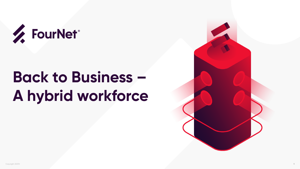



# **Back to Business – A hybrid workforce**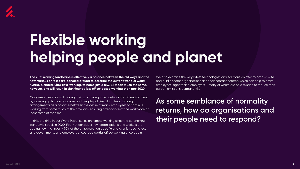

# **Flexible working helping people and planet**

**The 2021 working landscape is effectively a balance between the old ways and the new. Various phrases are bandied around to describe the current world of work; hybrid, blended, ultra flexi-working, to name just a few. All mean much the same, however, and will result in significantly less office-based working than pre-2020.** 

Many employers are still picking their way through the post-pandemic environment by drawing up human resources and people policies which treat working arrangements as a balance between the desire of many employees to continue working from home much of the time, and ensuring attendance at the workplace at least some of the time.

In this, the third in our White Paper series on remote working since the coronavirus pandemic struck in 2020, FourNet considers how organisations and workers are coping now that nearly 90% of the UK population aged 16 and over is vaccinated, and governments and employers encourage partial office-working once again.

We also examine the very latest technologies and solutions on offer to both private and public sector organisations and their contact centres, which can help to assist employees, agents and employers – many of whom are on a mission to reduce their carbon emissions permanently.

**As some semblance of normality returns, how do organisations and their people need to respond?**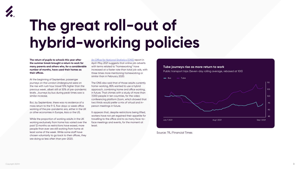

# **The great roll-out of hybrid-working policies**

**The return of pupils to schools this year after the summer break brought a return to work for many parents and others who, for a considerable number of months, have used their homes as their offices.** 

At the beginning of September, passenger journeys on the London Underground were on the rise with rush hour travel 10% higher than the previous week, albeit still at 50% of pre-pandemic levels. Journeys by bus during peak times saw a similar increase.

But, by Septembrer, there was no evidence of a mass return to the 9-5, five-days-a-week office working of the pre-pandemic era, either in the UK or other economies in Europe, Asia or the US.

While the proportion of working adults in the UK working exclusively from home has varied over the past 12 months as restrictions have eased, more people than ever are still working from home at least some of the week. While some staff have chosen voluntarily to go back to their offices, they are doing so less often than pre-2020.

[An Office for National Statistics \(ONS\)](https://www.ons.gov.uk/employmentandlabourmarket/peopleinwork/employmentandemployeetypes/articles/businessandindividualattitudestowardsthefutureofhomeworkinguk/apriltomay2021) report in April-May 2021 suggests that online job adverts with terms related to "homeworking" have increased at a faster rate than total job ads, with three times more mentioning homeworking or similar than in February 2020.

The ONS also said that of those adults currently home-working, 85% wanted to use a hybrid approach, combining home and office working, in future. That chimes with a study of more than 7,000 people in ten countries, for the video conferencing platform Zoom, which showed that two thirds would prefer a mix of virtual and inperson meetings in future.

It appears that, despite restrictions being lifted, workers have not yet regained their appetite for travelling to the office and to as many face-toface meetings and events, for the moment at least.



# **Tube journeys rise as more return to work**



Public transport trips (Seven-day rolling average, rebased at 100)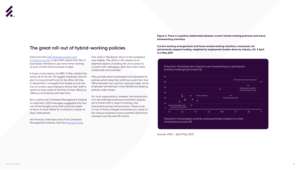Proportion of businesses currently working remotely instead of at their normal place at work (%)

Proportion of business who intend to use homeworking as a permanent business model going forward (%) 60 Information and Communication 50 40 Professional, Scientific  $\bullet$ and Technical Activities 30 **All industries**  $\bullet$ 20 Real Estate Activities 10 ● Accommodation and  $\bullet$ Food Service Activities

10 20 30 40 506 07 08 0

Source: ONS – April/May 2021

 $\circ$ 

**Figure 4: There is a positive relationship between current remote working practices and future homeworking intentions**

**Current working arrangements and future remote working intentions, businesses not permanently stopped trading, weighted by employment broken down by industry, UK, 5 April to 2 May 2021**

Ann Francke, chief executive of the Chartered Management Institute, told the **Financial Times** 

Data from the [ONS' Business Insights and](https://www.ons.gov.uk/businessindustryandtrade/business/businessservices/bulletins/businessinsightsandimpactontheukeconomy/6may2021#working-from-home)  [Conditions Survey](https://www.ons.gov.uk/businessindustryandtrade/business/businessservices/bulletins/businessinsightsandimpactontheukeconomy/6may2021#working-from-home) in April 2021 stated that 24% of businesses intended to use more home-working as part of their future business models.

A study conducted by the BBC in May, stated that nearly all of the UK's 50 biggest employers did not plan to bring all staff back to the office full time. In September, it emerged that bosses across the City of London were hoping to entice their staff to spend at least some of the time at their offices by offering social events and free food.

But a poll by the Chartered Management Institute of more than 1,000 managers suggested that four out of five thought some staff would be asked to return to their offices for a minimum number of days' attendance.

that while a "Big Bang" return to the workplace was unlikely, "the office is still viewed as an essential aspect of working life and a place to connect with colleagues, learn from each other, collaborate and socialise."

Many private sector businesses have plumped for policies which state that staff must work from their office between two and four days per week. Some employers are leaving it more flexible but keeping policies under review.

For most organisations, however, the introduction of a new blended working environment requires yet a further shift in ways of working, and associated policies and practices. These come on top of those changes introduced as a result of the various lockdowns and movement restrictions imposed over the past 18 months.



# **The great roll-out of hybrid-working policies**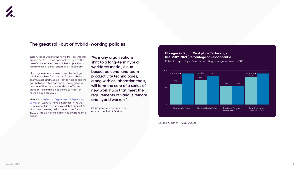In part, the solution to the new ultra-flexi working environment will come from technology and the use of collaborative tools which are optimised to handle a mix of office-based and virtual teams.

Most organisations have adopted technology solutions such as Zoom, Avaya Spaces, Microsoft Teams, Slack and Google Meet to help bridge the gap between office and home. The aggregate amount of time people spend on the Teams platform, for instance, has tripled to 45 million hours a day since 2020.

Meanwhile, a [Gartner Digital Worker Experience](https://www.gartner.com/en/newsroom/press-releases/2021-08-23-gartner-survey-reveals-44-percent-rise-in-workers-use-of-collaboration-tools-since-2019)  [Survey o](https://www.gartner.com/en/newsroom/press-releases/2021-08-23-gartner-survey-reveals-44-percent-rise-in-workers-use-of-collaboration-tools-since-2019)f 10,800 full-time employees in the US, Europe and Asia-Pacific showed that nearly 80% of workers are using collaboration tools for work in 2021. This is a 44% increase since the pandemic began.

**"As many organisations shift to a long-term hybrid workforce model, cloudbased, personal and team productivity technologies, along with collaboration tools, will form the core of a series of new work hubs that meet the requirements of various remote and hybrid workers"** 

Christopher Trueman, principal research analyst at Gartner.



# **The great roll-out of hybrid-working policies**

Public transport trips (Seven-day rolling average, rebased at 100)

Source: Gartner – August 2021



# **Changes in Digital Workplace Technology Use, 2019-2021 (Percentage of Respondents)**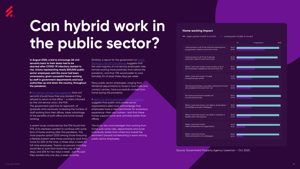

# **Can hybrid work in the public sector?**

**In August 2020, a bid to encourage UK civil servants back to their desks had to be aborted after COVID-19 infections started to rise. Unions representing nearly 500,000 public sector employees said the move had been unnecessary, given successful home-working by staff in government departments and local authorities up and down the country, throughout the pandemic.** 

A [UK cabinet minister has suggested](https://www.standard.co.uk/news/uk/working-from-home-covid-pandemic-civil-servants-b949744.html) that civil servants should have their pay docked if they refused to return to the office – a claim criticised by the civil service union, the FDA. The government said that its approach, of gradually and cautiously increasing the number of staff working from their offices, takes advantage of the benefits of both office and home-based working.

Similarly, a report for the government on **Home** [Working in the UK Civil Service](https://assets.publishing.service.gov.uk/government/uploads/system/uploads/attachment_data/file/984279/Home_working_and_the_UK_Civil_Service.pdf), suggests that the vast majority of civil service employees view remote working more positively than before the pandemic, and that 73% would prefer to work remotely for at least three days per week.

Many public sector employees, ranging from Whitehall departments to those in town halls and contact centres, have successfully worked from home during the pandemic.

A report for the Government Property Agency

A recent study conducted by the FDA found that 97% of its members wanted to continue with some form of home working after the pandemic. The most popular option (32%) among those favouring a flexible pattern were those wanting to work from home for 60% of the time, or three days a week for full-time employees. Twenty-six percent said they would like to work from home four out of five days, and 20% for two days a week. Just 9% said they wanted only one day a week at home.

suggests that public and private sector organisations alike must acknowledge that employees have a new benchmark for workplace experience—their own homes— and that these homes support some work activities better than offices.

The study also acknowledges that working from home suits some roles, departments and some individuals, better than others but overall the sentiment towards homeworking is warm among public sector employees.

# **Home working Impact**

Upper quarter n=6,249, H-Lmi 95.3 Lowerquarter n=6,268, H-Lmi 46.2

|                                                                                                 |                | 0% | % Agreement | 100% |
|-------------------------------------------------------------------------------------------------|----------------|----|-------------|------|
| I have access to all of the software applications/<br>programmes I need to work from home       | 98.5%<br>65.9% |    |             |      |
| I have access to all of the IT devices<br>and tools I need to work from home                    | 96.5%<br>45.5% |    |             |      |
| When I work from home, I have access to all of<br>the information needed for the work that I do | 99.7%<br>45.6% |    |             |      |
| When I work from home, I'm able<br>to be physically active                                      | 94.8%<br>40.2% |    |             |      |
| The physical settings I use when working from home<br>are suitable for the work that I do       | 97.9%<br>38.0% |    |             |      |
| My home environment enables me<br>to work productively                                          | 99.6%<br>39.0% |    |             |      |
| When I work from home, I am able to share ideas/<br>knowledge amongst colleagues                | 99.8%<br>37.1% |    |             |      |
| When I work from home, I am able to maintain a<br>healthy work-life balance                     | 98.0%<br>33.7% |    |             |      |
| When I work from home,<br>I feel connected to my organisation                                   | 99.0%<br>19.4% |    |             |      |
| When I work from home,<br>I feel connected to my colleagues                                     | 98.6%<br>16.2% |    |             |      |

Source: Government Property Agency/Leesman – Oct 2020

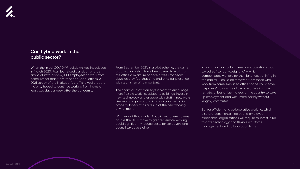

# **Can hybrid work in the public sector?**

When the initial COVID-19 lockdown was introduced in March 2020, FourNet helped transition a large financial institution's 4,000 employees to work from home, rather than from its headquarter offices. A 2021 survey of the institution's staff showed that the majority hoped to continue working from home at least two days a week after the pandemic.

# From September 2021, in a pilot scheme, the same organisation's staff have been asked to work from the office a minimum of once a week for 'team days' as they feel that time and physical presence

with teams remains important.

The financial institution says it plans to encourage more flexible working, adapt its buildings, invest in new technology and engage with staff in new ways. Like many organisations, it is also considering its property footprint as a result of the new working environment.

With tens of thousands of public sector employees across the UK, a move to greater remote working could significantly reduce costs for taxpayers and council taxpayers alike.

In London in particular, there are suggestions that so-called "London-weighting" – which compensates workers for the higher cost of living in the capital – could be removed from those who work from home. Reduced office space could save taxpayers' cash, while allowing workers in more remote, or less affluent areas of the country to take up employment and work more flexibly without lengthy commutes.

But for efficient and collaborative working, which also protects mental health and employee experience, organisations will require to invest in up to date technology and flexible workforce management and collaboration tools.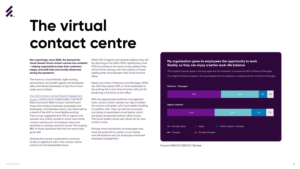# My organisation gives its employees the opportunity to work flexibly so they can enjoy a better work-life balance



# **The virtual contact centre**

**Not surprisingly, since 2020, the demand for cloud-based virtual contact centres has rocketed - helping organisations keep their customers happy, and staff safe and socially distanced, during the pandemic.**

The move to a more flexible, agile working environment can benefit agents and employers alike, and allows businesses to tap into a much wider pool of talent.

## [The 2021 Contact Centre People Engagement](https://callnorthwest.org.uk/2021/04/14/new-survey-paints-positive-picture-of-employee-engagement-during-lockdown/)

[Survey](https://callnorthwest.org.uk/2021/04/14/new-survey-paints-positive-picture-of-employee-engagement-during-lockdown/), carried out by trade bodies, Call North West and South West Contact Centre Forum shows that relations between businesses and employees, and between teams, has fared well as a result of the shift to more flexible working. Their survey suggested that 70% of agents and advisers who mainly worked in bricks and mortar contact centres prior to lockdown have now switched to working more from home. The majority, 88% of those individuals felt that the switch had gone well.

Working from home is expected to continue to play a significant role in the contact centre industry for the foreseeable future.

While 43% of agents and advisers believe they will be returning to the office 100%, significantly more (57%) according to the same survey, believe they will be home working, with the majority of those splitting their time between their home and the office.

Nearly two thirds of Directors and Managers (60%) say that they expect 50% or more employees to be working full or part time at home, with just 4% predicting a full return to the office.

With the appropriate workforce management tools, virtual contact centres can help to flatten the curve in call spikes, with much better handling of overflow calls. They can also be structured according to specialised virtual teams, which are easily reorganised without office moves. The cloud-based nature also allows for 24-hour contact cover.

Perhaps most importantly, for employees they have the potential to create a much better work life balance and, for employers enhanced employee engagement.

79% of Agents/Advisers Agree or Strongly Agree with this statement, compared with 87% of Directors/Managers 7% of Agents/Advisers Disagree or Strongly Disagree with the statement, compared with 6% of Directors/Managers

## **Directors / Managers**



Source: NWCCF/SWCCF/Sensee

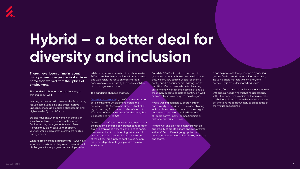



# **Hybrid – a better deal for diversity and inclusion**

# **There's never been a time in recent history where more people worked from home than worked from their place of employment.**

The pandemic changed that, and our way of thinking about work.

Working remotely can improve work–life balance, reduce commuting time and costs, improve IT upskilling, encourage reduced absenteeism and higher levels of job satisfaction.

Studies have shown that women, in particular, show higher levels of job satisfaction when flexible working arrangements were offered – even if they didn't take up that option. Younger workers also often prefer more flexible arrangements.

[According to research](https://www.cipd.co.uk/knowledge/work/trends/working-post-pandemic) by the Chartered Institute of Personnel and Development, before the pandemic, 65% of employers either did not offer regular working from home at all or offered it to 10% or less of their workforce. After the crisis, that is expected to fall to 37%.

While flexible working arrangements (FWAs) have long been in existence, they've not been without challenges – for employees and employers alike.

While many workers have traditionally requested FWAs to enable them to balance family, parental and work roles, the focus on ensuring team cohesiveness and inclusivity has been much less of a management concern.

The pandemic changed that too.

It can help to close the gender gap by offering greater flexibility and opportunities for women, including single mothers with children, and particularly in male dominated industries.

As a result of enforced home-working because of the pandemic, there's been greater consideration given to employees working conditions at home, their mental health and creating virtual social events to keep up team spirit and morale, out of the office. This is likely to continue as human resources departments grapple with the new landscape.

But while COVID-19 has impacted certain groups more heavily than others, in relation to age, weight, sex, ethnicity, socio-economic background, disability or pre-existing health condition, it's also created a virtual working environment which in some cases may enable those individuals to be able to continue in work, or even take up previously inaccessible jobs.

Hybrid working can help support inclusion and diversity in the virtual workplace, allowing individuals to consider roles which they might have been considered ill-suited because of childcare commitments, commuting time or distance, disability or illness.

Remote working provides employers with an opportunity to create a more diverse workforce, with staff from different geographies and backgrounds and across all job levels, functions and teams.

Working from home can make it easier for workers with special needs who might find accessibility within the workplace prohibitive. It can also help to eliminate visual biases within the workplace – assumptions made about individuals because of their visual appearance.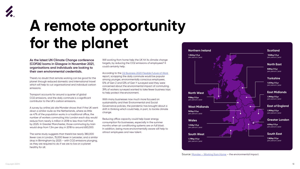

# **A remote opportunity for the planet**

**As the latest UN Climate Change conference (COP26) looms in Glasgow in November 2021, organisations and individuals are looking to their own environmental credentials.**

There's no doubt that remote working can be good for the planet through reduced domestic and international travel which will help to cut organisational and individual carbon emissions.

Transport accounts for around a quarter of global CO2 emissions, and the daily commute is a significant contributor to the UK's carbon emissions.

A survey by online job site Monster shows that if the UK went down a similar route as the Netherlands, where as little as 47% of the population works in a traditional office, the number of workers commuting into London each day would reduce from nearly 4 million in 2018 to less than half that by 2025. In Greater Manchester, those commuting by train would drop from 1.3m per day in 2018 to around 650,000.

According to the [O2 Business 2020 Flexible Future of Work](https://www.itpro.co.uk/business-strategy/business-transformation/359729/the-potential-sustainability-benefits-of-flexible) report, scrapping the daily commute would be popular among younger, environmentally conscious employees. 51% of Gen Z and 53% of Gen Y surveyed said they were concerned about the environmental impact of commuting. 39% of workers surveyed wanted to take fewer business trips to help protect the environment.

The same study suggests that there'd be nearly 380,000 fewer cars in London, 75,000 fewer in Leicester, and a similar drop in Birmingham by 2025 – with CO2 emissions plunging, as they are required to do if we are to live on a planet healthy for all.

Will working from home help the UK hit its climate change targets, by reducing the CO2 emissions of employees? It could certainly help.

With many businesses now much more focused on sustainability and their Environmental and Social Governance policies, the pandemic has brought about a shift in thinking which could help, in part, to tackle climate change.

Reducing office capacity could help lower energy consumption for businesses, especially in the summer months when air conditioning systems are on full blast. In addition, being more environmentally aware will help to attract employees and new talent.





Source: Monster – Working from Home – the environmental impact.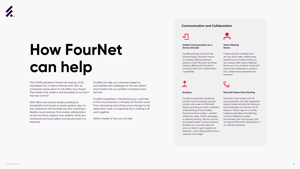

# **How FourNet can help**

The COVID pandemic forced the majority of UK businesses into a state of remote work. But, as companies slowly return to the office, how should they adapt their systems and processes to survive in the new normal?

With office and remote workers battling for bandwidth and access to onsite systems, day-today operations will inevitably be slow. Investing in flexible cloud solutions that enable collaboration across locations, support your systems, store your workloads and have safety and security built in is essential.

FourNet can help our customers adapt to, and address the challenges of, this new hybrid environment with our portfolio of solutions and services.

FourNet's expertise in transitioning our customers to the cloud extends to all layers of the tech stack. From networking and infrastructure through to the application layer, our expertise lies in making it all work together.

Here's a taster of how we can help:

### **Unified Communications as a Service (UCaaS)**

FourNet partners with both the Gartner Magic Quadrant standout leaders offering solutions based on both Microsoft and Ring Central, offering the full suite of communication and collaboration capabilities.



### **Analytics**

FourNet incorporates additional analytic tools to properly log and monitor calls, even via Microsoft Teams, providing you with a detailed understanding of your Unified Communications usage – whether softphone, video, instant messages or desktop sharing. Monitor activity and present data: intuitive analytics enables you to access data the way you need it; gain insights into adoption, costs, billing, performance, capacity and usage.

## **Teams Meeting Rooms**

Create dynamic meeting room set-ups which offer collaborative experiences no matter where you are working. With Teams Meeting Rooms you can combine virtual and face to face meetings to create a rich, collaborative experience for everyone.

# T a La

## **Microsoft Teams Direct Routing**

One direct dial number with full voice capability. Our fully integrated solution routes all calls into Teams so that employees can answer via PC, laptop or Teams app on a mobile. It delivers seamless call switching, no loss of telephony system functionality and cost savings, with no need for Microsoft calling plans or on-premise hardware.

# **Communication and Collaboration**

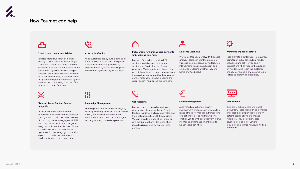



# **How Fournet can help**



### **Cloud contact centre capabilities**

FourNet offers a full range of marketleading CCaaS solutions, with our Agile Cloud and Community Cloud platforms. From simple, easy to adopt contact centre solutions to highly resilient and complex customer experience platforms; FourNet has a solution for every customer's needs. Our platforms support and enable agents whether they are working from the office, remotely or a mix of the two.

\*

### **Microsoft Teams Contact Centre integration**

Our multi-channel contact centre capabilities provide customers access to your agents via their channel of choice phone calls, voice messages, email, SMS, web chat, social media – in a single, fully integrated solution. The Microsoft Teams shared workspace then enables your agent to effortlessly engage back-office experts to provide the best resolution available for each customer contact.



### **AI for call deflection**

Keep customers happy during periods of peak demand with artificial intelligence assistants or chatbots, powered by conversational AI, to shift incoming calls from human agents to digital channels.



### **Knowledge Management**

Enabling consistent customer journeys by ensuring everyday questions are answered quickly and efficiently whether in selfservice mode or via contact centre agents working remotely or on office premises.

## **PCI solutions for handling card payments while working from home**



FourNet offers industry leading PCI solutions to deliver secure payment solutions for Cardholder Not Present payments. We integrate with the call flow and at the point of payment, intercept any tones as they are entered by the customer on their telephone keypad, meaning the agent doesn't hear or see the card data.



FourNet can provide call recording of all external calls into our Teams Direct Routing solutions. Calls are encrypted and the application is fully GDPR compliant. We can provide a range of call retention and archiving options. Resilience of call recording is provided by our dual data centres.

## **Employee Wellbeing**

Workforce Management (WFM) & speech analytics tools can identify stressed or vulnerable employees, allowing targeted interventions to safeguard agent and employee wellbeing whether they are home or office based.

## **Quality management**

Automated omnichannel quality management processes which provide a range of tools for managers, from scoring evaluations to assigning training. This enables you to shift resources from manual monitoring and management tasks to higher-value activities.



## **Workforce engagement tools**

Help promote a better work life balance, permitting flexible scheduling, holiday allowance and self-service and AI applications which reduce the quantity of mundane and repetitive customer engagements and allow resource to be shifted to higher value activities.



### **Gamification**

Build team cohesiveness and boost motivation. These tools can help engage and incentivise employees to perform better based on key performance indicators. They also satisfiy core psychological and motivational requirements both for individual workers and teams.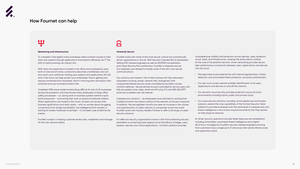

# **How Fournet can help**

# <u> 11</u>

### **Networking and Infrastructure**

To compete in the digital world, businesses need constant access to their data and systems through applications that perform efficiently, 24/7. The shift to hybrid working can impact this.

With data and applications hosted in the office and accessed by users both on site and at home, connectivity becomes a bottleneck and can slow down your workforce. Hosting your systems and applications off-site and in the cloud can help protect your employees' time in getting and staying connected from anywhere, which in the long term will impact their workload and your business's bottom line.

Unreliable VPNs have made homeworking difficult for lots of UK businesses during the pandemic and have forced many employees to forgo office safety procedures – i.e. saving work on business systems behind cryptic email passwords – and saving their work on physical hardware instead. When applications are hosted in the cloud, all users can access their business applications and data, easily – with no worries about struggling connectivity from dodgy bandwidths, lost intelligence from hackers or waiting for broken hardware to be fixed – it's all taken care of behind the scenes.

FourNet is expert in helping customer review, plan, implement and manage for this new network reality.

# $\sqrt{ }$ **The Company**

### **Inherently Secure**

FourNet works with some of the most secure, critical and commercially driven organisations in the UK. With Security Checked (SC) & Developed Vetting (DV) cleared engineers as well as ISO27001 accreditation and Cyber Security Plus certification, FourNet is inherently secure. Our engineers are cleared to handle some of the UK's most secure communications.

Our solutions are hosted in Tier IV data centres with fully redundant subsystems (cooling, power, network links, storage etc) with compartmentalised security zones controlled by biometric access controls methods. Secure remote access is provided for service users with fully encrypted voice, video, email and IM using TLS and AES 256 SRTP protocols available over the internet.

Cybersecurity solutions – as employees have switched to working from multiple locations the attack surface of the network continues to expand. In addition, the last eighteen months has seen an increase in the volume and sophistication of cyber-attacks on companies across the world. FourNet works with industry leaders Fortinet to offer a full range of cybersecurity solutions.

For effective security, organisations have to shift from protecting security perimeters to protecting data spread across the billions of edges, users, systems, devices and critical applications. Fortinet's platform provides

comprehensive visibility and protection across devices, users, endpoint, cloud, SaaS, and infrastructure, covering the entire attack surface. At the core of the platform security-driven networking provides secure high-performance connectivity between users, applications and devices into the cloud.

- Manage internal and external risk with internal segmentation, threat detection and automated threat protection and policy enforcement.
- Our zero trust access network enables identification of all users, applications and devices on and off the network.
- Our dynamic cloud security provides protection across all cloud environments including hybrid, public and private cloud.
- Our cloud security solutions, including virtual appliances and hosted solutions, extend the core capabilities of the Fortinet Security Fabric platform to provide businesses with the same level of cybersecurity and threat intelligence in and across cloud environments that they receive on their physical networks.

AI-driven security operations provide faster response and remediation including actionable, customised threat intelligence and insights. All of this is managed by FourNet's security cleared engineers ensuring that customers have a single port of call across their whole infrastructure and application stack.

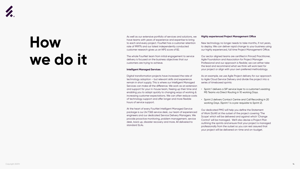

# **How we do it**

As well as our extensive portfolio of services and solutions, we have teams with years of experience and expertise to bring to each and every project. FourNet has a customer retention rate of 99.97% and our latest independently conducted customer research gives us an NPS score of 82.

The whole FourNet team from initial engagement to service delivery is focused on the business objectives that our customers are trying to achieve.

# **Intelligent Managed Services**

Digital transformation projects have increased the rate of technology adoption – but relevant skills and experience remain in short supply. This is where our Intelligent Managed Services can make all the difference. We work as an extension and support for your in-house team, freeing up their time and enabling you to adapt quickly to changing ways of working & increasing customer expectations. We can often reduce costs of technology support and offer longer and more flexible hours of service support.

At the heart of every FourNet Intelligent Managed Service package is our 24:7:365 service desk, our team of experienced engineers and our dedicated Service Delivery Managers. We provide proactive monitoring, problem management, service desk, back up, disaster recovery and more. All delivered to

standard SLAs.

## **Highly experienced Project Management Office**

New technology no longer needs to take months, if not years, to deploy. We can deliver rapid change to your business using our highly experienced, full time Project Management Office.

Our sector aligned teams are certified in Prince2 Practitioner, Agile Foundation and Association for Project Manager Professional and our approach is flexible; we can either take the lead and recommend what we think will work best for your project or align with your own preferred methodology.

As an example, we use Agile Project delivery for our approach to Agile Cloud Service Delivery and divide the project into a series of timeboxed sprints:

- Sprint 1 delivers a SIP service layer to a customer's existing MS Teams via Direct Routing in 10 working Days.
- Sprint 2 delivers Contact Centre and Call Recording in 20 working Days. (Sprint 1 is a pre-requisite to Sprint 2).

Our dedicated PMO will help you define the Statement of Work (SoW) at the outset of the project covering 'The Scope' which will be delivered and against which 'Change Control' will be managed. We'll also devise a Project Plan outlining the sprints and ensure that your project is managed professionally from the outset so you can rest assured that your project will be delivered on-time and on-budget.

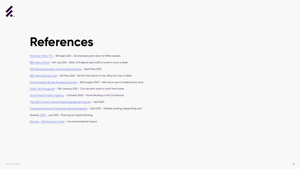

# **References**

[Financial Times/ TFL](https://www.ft.com/content/83740583-7717-4aa3-babf-d880bccb1c85) - 5th Sept 2021 - UK employers plot return of office workers

[BBC News Online](https://www.bbc.co.uk/news/business-57727567) – 6th July 2021 - Bank of England asks staff to come in once a week

[ONS' Business Insights and Conditions Survey](https://www.ons.gov.uk/businessindustryandtrade/business/businessservices/bulletins/businessinsightsandimpactontheukeconomy/6may2021#working-from-home) – April/May 2021

[BBC News Business Unit](https://www.bbc.co.uk/news/business-56972207) - 6th May 2021 - No full-time return to the office for over a million

[Gartner Digital Worker Experience Survey](https://www.gartner.com/en/newsroom/press-releases/2021-08-23-gartner-survey-reveals-44-percent-rise-in-workers-use-of-collaboration-tools-since-2019) - 25th August 2021 - 44% rise in use of collaboration tools

[Public Technology.net](https://www.publictechnology.net/articles/news/seven-ten-civil-servants-want-work-home-least-three-days-week) – 13th January 2021 - Civil servants want to work from home

[Government Property Agency](https://assets.publishing.service.gov.uk/government/uploads/system/uploads/attachment_data/file/984279/Home_working_and_the_UK_Civil_Service.pdf) – October 2020 - Home Working in the Civil Service

[The 2021 Contact Centre People Engagement Survey](https://www.sensee.co.uk/resources/ebooks/power-of-engagement-final.pdf) – April 2021

[Chartered Institute of Personnel and Development](file:///C:/Users/user/AppData/Local/Microsoft/Windows/INetCache/Content.Outlook/DD16RDOA/Chartered Institute of Personnel and Development 2021) – April 2021 - Flexible working, teleworking and

diversity [CIPD](file:///C:/Users/user/AppData/Local/Microsoft/Windows/INetCache/Content.Outlook/DD16RDOA/July 2021) - July 2021 - Planning for Hybrid Working

Monster - Working from Home - the environmental impact.